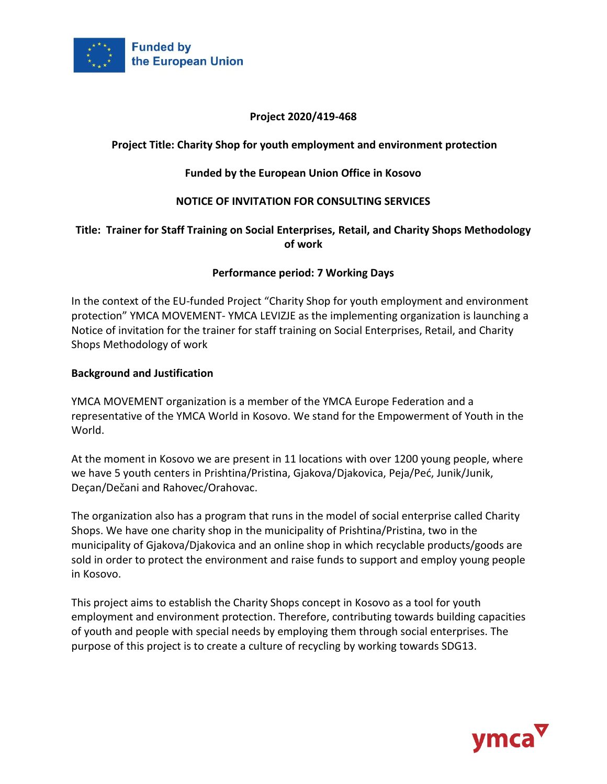

# **Project 2020/419-468**

# **Project Title: Charity Shop for youth employment and environment protection**

### **Funded by the European Union Office in Kosovo**

### **NOTICE OF INVITATION FOR CONSULTING SERVICES**

### **Title: Trainer for Staff Training on Social Enterprises, Retail, and Charity Shops Methodology of work**

#### **Performance period: 7 Working Days**

In the context of the EU-funded Project "Charity Shop for youth employment and environment protection" YMCA MOVEMENT- YMCA LEVIZJE as the implementing organization is launching a Notice of invitation for the trainer for staff training on Social Enterprises, Retail, and Charity Shops Methodology of work

#### **Background and Justification**

YMCA MOVEMENT organization is a member of the YMCA Europe Federation and a representative of the YMCA World in Kosovo. We stand for the Empowerment of Youth in the World.

At the moment in Kosovo we are present in 11 locations with over 1200 young people, where we have 5 youth centers in Prishtina/Pristina, Gjakova/Djakovica, Peja/Peć, Junik/Junik, Deçan/Dečani and Rahovec/Orahovac.

The organization also has a program that runs in the model of social enterprise called Charity Shops. We have one charity shop in the municipality of Prishtina/Pristina, two in the municipality of Gjakova/Djakovica and an online shop in which recyclable products/goods are sold in order to protect the environment and raise funds to support and employ young people in Kosovo.

This project aims to establish the Charity Shops concept in Kosovo as a tool for youth employment and environment protection. Therefore, contributing towards building capacities of youth and people with special needs by employing them through social enterprises. The purpose of this project is to create a culture of recycling by working towards SDG13.

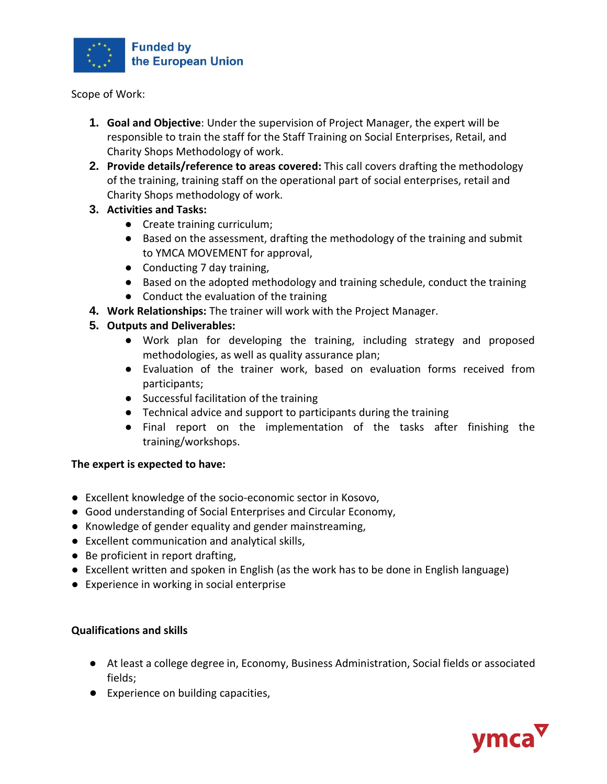

Scope of Work:

- **1. Goal and Objective**: Under the supervision of Project Manager, the expert will be responsible to train the staff for the Staff Training on Social Enterprises, Retail, and Charity Shops Methodology of work.
- **2. Provide details/reference to areas covered:** This call covers drafting the methodology of the training, training staff on the operational part of social enterprises, retail and Charity Shops methodology of work.

# **3. Activities and Tasks:**

- Create training curriculum;
- Based on the assessment, drafting the methodology of the training and submit to YMCA MOVEMENT for approval,
- Conducting 7 day training,
- Based on the adopted methodology and training schedule, conduct the training
- Conduct the evaluation of the training
- **4. Work Relationships:** The trainer will work with the Project Manager.
- **5. Outputs and Deliverables:**
	- Work plan for developing the training, including strategy and proposed methodologies, as well as quality assurance plan;
	- Evaluation of the trainer work, based on evaluation forms received from participants;
	- Successful facilitation of the training
	- Technical advice and support to participants during the training
	- Final report on the implementation of the tasks after finishing the training/workshops.

# **The expert is expected to have:**

- Excellent knowledge of the socio-economic sector in Kosovo,
- Good understanding of Social Enterprises and Circular Economy,
- Knowledge of gender equality and gender mainstreaming,
- Excellent communication and analytical skills,
- Be proficient in report drafting,
- Excellent written and spoken in English (as the work has to be done in English language)
- Experience in working in social enterprise

# **Qualifications and skills**

- At least a college degree in, Economy, Business Administration, Social fields or associated fields;
- Experience on building capacities,